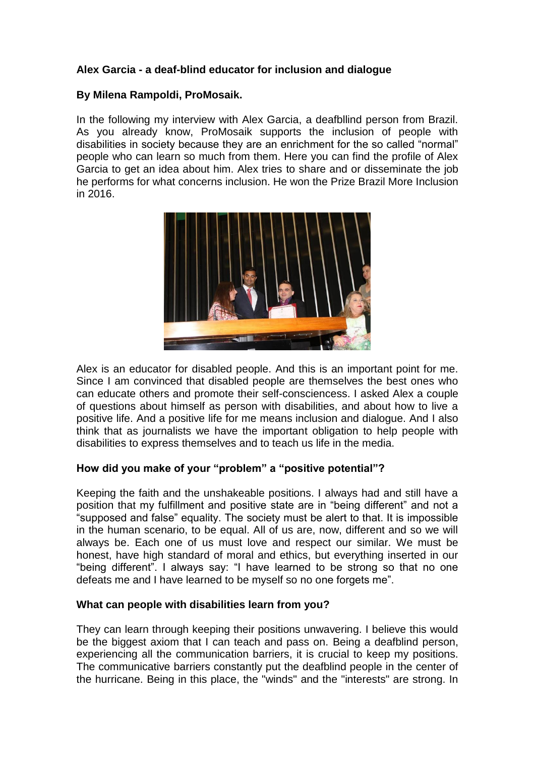# **Alex Garcia - a deaf-blind educator for inclusion and dialogue**

# **By Milena Rampoldi, ProMosaik.**

In the following my interview with Alex Garcia, a deafbllind person from Brazil. As you already know, ProMosaik supports the inclusion of people with disabilities in society because they are an enrichment for the so called "normal" people who can learn so much from them. Here you can find the profile of Alex Garcia to get an idea about him. Alex tries to share and or disseminate the job he performs for what concerns inclusion. He won the Prize Brazil More Inclusion in 2016.



Alex is an educator for disabled people. And this is an important point for me. Since I am convinced that disabled people are themselves the best ones who can educate others and promote their self-consciencess. I asked Alex a couple of questions about himself as person with disabilities, and about how to live a positive life. And a positive life for me means inclusion and dialogue. And I also think that as journalists we have the important obligation to help people with disabilities to express themselves and to teach us life in the media.

# **How did you make of your "problem" a "positive potential"?**

Keeping the faith and the unshakeable positions. I always had and still have a position that my fulfillment and positive state are in "being different" and not a "supposed and false" equality. The society must be alert to that. It is impossible in the human scenario, to be equal. All of us are, now, different and so we will always be. Each one of us must love and respect our similar. We must be honest, have high standard of moral and ethics, but everything inserted in our "being different". I always say: "I have learned to be strong so that no one defeats me and I have learned to be myself so no one forgets me".

# **What can people with disabilities learn from you?**

They can learn through keeping their positions unwavering. I believe this would be the biggest axiom that I can teach and pass on. Being a deafblind person, experiencing all the communication barriers, it is crucial to keep my positions. The communicative barriers constantly put the deafblind people in the center of the hurricane. Being in this place, the "winds" and the "interests" are strong. In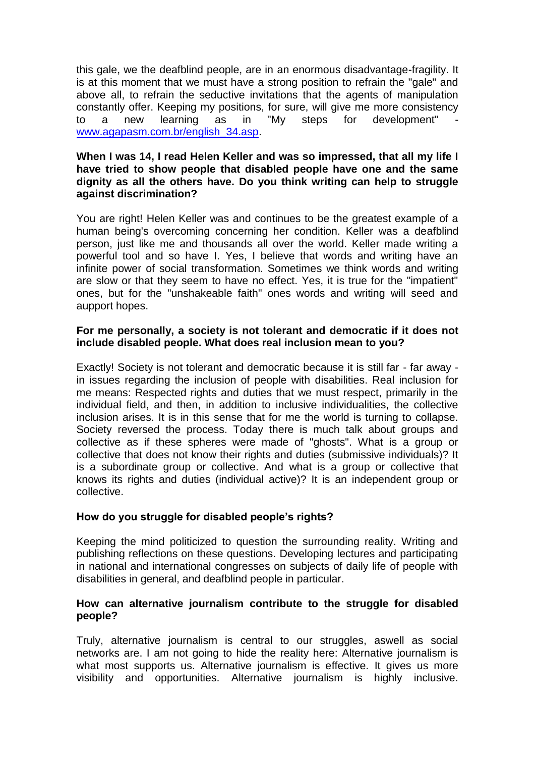this gale, we the deafblind people, are in an enormous disadvantage-fragility. It is at this moment that we must have a strong position to refrain the "gale" and above all, to refrain the seductive invitations that the agents of manipulation constantly offer. Keeping my positions, for sure, will give me more consistency to a new learning as in "My steps for development" [www.agapasm.com.br/english\\_34.asp.](http://www.agapasm.com.br/english_34.asp)

#### **When I was 14, I read Helen Keller and was so impressed, that all my life I have tried to show people that disabled people have one and the same dignity as all the others have. Do you think writing can help to struggle against discrimination?**

You are right! Helen Keller was and continues to be the greatest example of a human being's overcoming concerning her condition. Keller was a deafblind person, just like me and thousands all over the world. Keller made writing a powerful tool and so have I. Yes, I believe that words and writing have an infinite power of social transformation. Sometimes we think words and writing are slow or that they seem to have no effect. Yes, it is true for the "impatient" ones, but for the "unshakeable faith" ones words and writing will seed and aupport hopes.

#### **For me personally, a society is not tolerant and democratic if it does not include disabled people. What does real inclusion mean to you?**

Exactly! Society is not tolerant and democratic because it is still far - far away in issues regarding the inclusion of people with disabilities. Real inclusion for me means: Respected rights and duties that we must respect, primarily in the individual field, and then, in addition to inclusive individualities, the collective inclusion arises. It is in this sense that for me the world is turning to collapse. Society reversed the process. Today there is much talk about groups and collective as if these spheres were made of "ghosts". What is a group or collective that does not know their rights and duties (submissive individuals)? It is a subordinate group or collective. And what is a group or collective that knows its rights and duties (individual active)? It is an independent group or collective.

# **How do you struggle for disabled people's rights?**

Keeping the mind politicized to question the surrounding reality. Writing and publishing reflections on these questions. Developing lectures and participating in national and international congresses on subjects of daily life of people with disabilities in general, and deafblind people in particular.

#### **How can alternative journalism contribute to the struggle for disabled people?**

Truly, alternative journalism is central to our struggles, aswell as social networks are. I am not going to hide the reality here: Alternative journalism is what most supports us. Alternative journalism is effective. It gives us more visibility and opportunities. Alternative journalism is highly inclusive.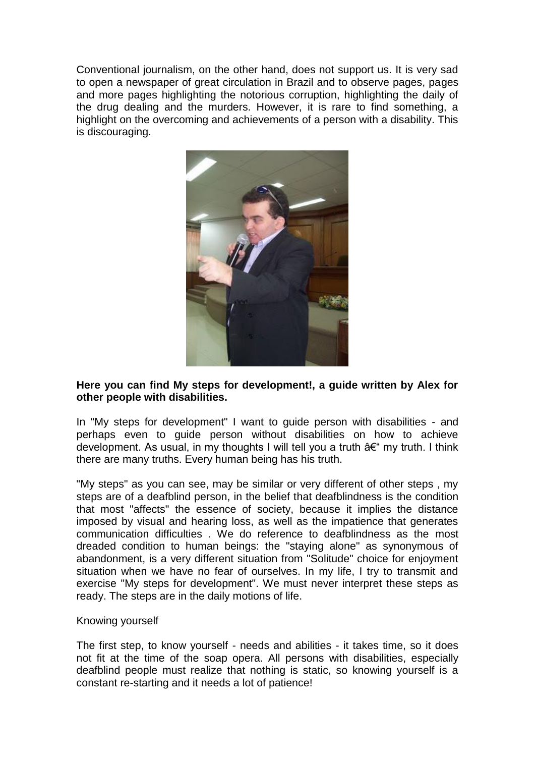Conventional journalism, on the other hand, does not support us. It is very sad to open a newspaper of great circulation in Brazil and to observe pages, pages and more pages highlighting the notorious corruption, highlighting the daily of the drug dealing and the murders. However, it is rare to find something, a highlight on the overcoming and achievements of a person with a disability. This is discouraging.



# **Here you can find My steps for development!, a guide written by Alex for other people with disabilities.**

In "My steps for development" I want to guide person with disabilities - and perhaps even to guide person without disabilities on how to achieve development. As usual, in my thoughts I will tell you a truth  $a \in \mathfrak{m}$  my truth. I think there are many truths. Every human being has his truth.

"My steps" as you can see, may be similar or very different of other steps , my steps are of a deafblind person, in the belief that deafblindness is the condition that most "affects" the essence of society, because it implies the distance imposed by visual and hearing loss, as well as the impatience that generates communication difficulties . We do reference to deafblindness as the most dreaded condition to human beings: the "staying alone" as synonymous of abandonment, is a very different situation from "Solitude" choice for enjoyment situation when we have no fear of ourselves. In my life, I try to transmit and exercise "My steps for development". We must never interpret these steps as ready. The steps are in the daily motions of life.

#### Knowing yourself

The first step, to know yourself - needs and abilities - it takes time, so it does not fit at the time of the soap opera. All persons with disabilities, especially deafblind people must realize that nothing is static, so knowing yourself is a constant re-starting and it needs a lot of patience!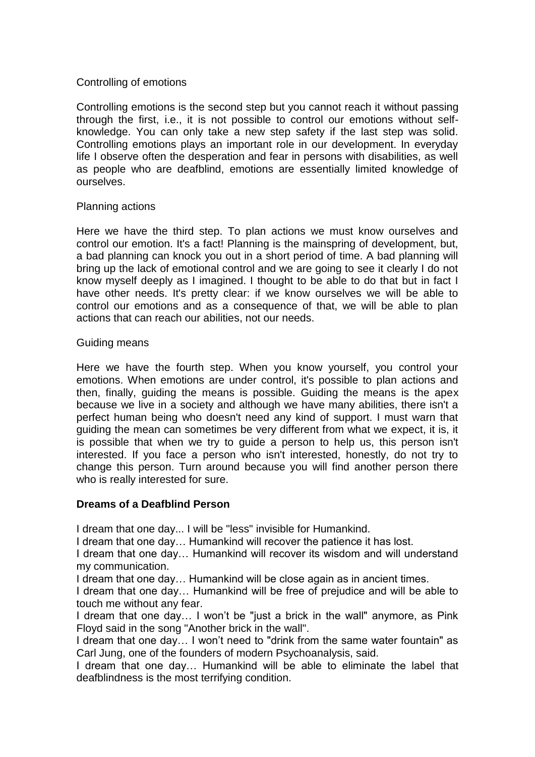# Controlling of emotions

Controlling emotions is the second step but you cannot reach it without passing through the first, i.e., it is not possible to control our emotions without selfknowledge. You can only take a new step safety if the last step was solid. Controlling emotions plays an important role in our development. In everyday life I observe often the desperation and fear in persons with disabilities, as well as people who are deafblind, emotions are essentially limited knowledge of ourselves.

# Planning actions

Here we have the third step. To plan actions we must know ourselves and control our emotion. It's a fact! Planning is the mainspring of development, but, a bad planning can knock you out in a short period of time. A bad planning will bring up the lack of emotional control and we are going to see it clearly I do not know myself deeply as I imagined. I thought to be able to do that but in fact I have other needs. It's pretty clear: if we know ourselves we will be able to control our emotions and as a consequence of that, we will be able to plan actions that can reach our abilities, not our needs.

#### Guiding means

Here we have the fourth step. When you know yourself, you control your emotions. When emotions are under control, it's possible to plan actions and then, finally, guiding the means is possible. Guiding the means is the apex because we live in a society and although we have many abilities, there isn't a perfect human being who doesn't need any kind of support. I must warn that guiding the mean can sometimes be very different from what we expect, it is, it is possible that when we try to guide a person to help us, this person isn't interested. If you face a person who isn't interested, honestly, do not try to change this person. Turn around because you will find another person there who is really interested for sure.

# **Dreams of a Deafblind Person**

I dream that one day... I will be "less" invisible for Humankind.

I dream that one day… Humankind will recover the patience it has lost.

I dream that one day… Humankind will recover its wisdom and will understand my communication.

I dream that one day… Humankind will be close again as in ancient times.

I dream that one day… Humankind will be free of prejudice and will be able to touch me without any fear.

I dream that one day… I won't be "just a brick in the wall" anymore, as Pink Floyd said in the song "Another brick in the wall".

I dream that one day… I won't need to "drink from the same water fountain" as Carl Jung, one of the founders of modern Psychoanalysis, said.

I dream that one day… Humankind will be able to eliminate the label that deafblindness is the most terrifying condition.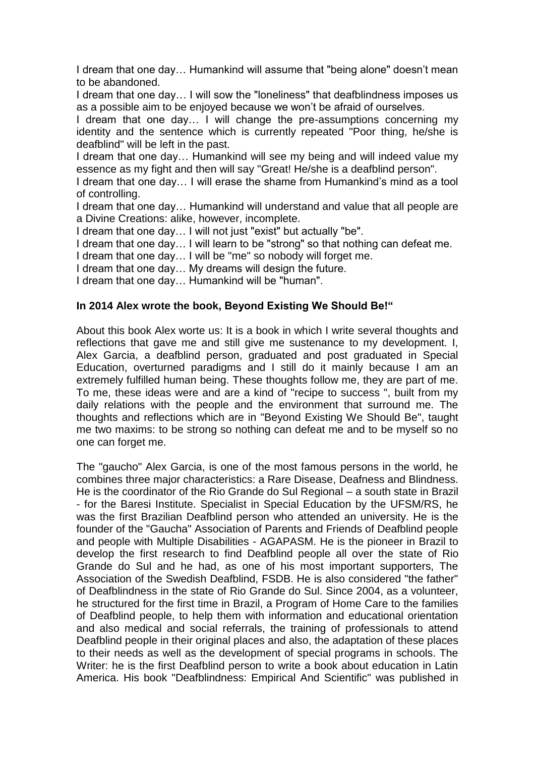I dream that one day… Humankind will assume that "being alone" doesn't mean to be abandoned.

I dream that one day… I will sow the "loneliness" that deafblindness imposes us as a possible aim to be enjoyed because we won't be afraid of ourselves.

I dream that one day… I will change the pre-assumptions concerning my identity and the sentence which is currently repeated "Poor thing, he/she is deafblind" will be left in the past.

I dream that one day… Humankind will see my being and will indeed value my essence as my fight and then will say "Great! He/she is a deafblind person".

I dream that one day… I will erase the shame from Humankind's mind as a tool of controlling.

I dream that one day… Humankind will understand and value that all people are a Divine Creations: alike, however, incomplete.

I dream that one day… I will not just "exist" but actually "be".

I dream that one day… I will learn to be "strong" so that nothing can defeat me.

I dream that one day… I will be "me" so nobody will forget me.

I dream that one day… My dreams will design the future.

I dream that one day… Humankind will be "human".

# **In 2014 Alex wrote the book, Beyond Existing We Should Be!"**

About this book Alex worte us: It is a book in which I write several thoughts and reflections that gave me and still give me sustenance to my development. I, Alex Garcia, a deafblind person, graduated and post graduated in Special Education, overturned paradigms and I still do it mainly because I am an extremely fulfilled human being. These thoughts follow me, they are part of me. To me, these ideas were and are a kind of "recipe to success ", built from my daily relations with the people and the environment that surround me. The thoughts and reflections which are in "Beyond Existing We Should Be", taught me two maxims: to be strong so nothing can defeat me and to be myself so no one can forget me.

The "gaucho" Alex Garcia, is one of the most famous persons in the world, he combines three major characteristics: a Rare Disease, Deafness and Blindness. He is the coordinator of the Rio Grande do Sul Regional – a south state in Brazil - for the Baresi Institute. Specialist in Special Education by the UFSM/RS, he was the first Brazilian Deafblind person who attended an university. He is the founder of the "Gaucha" Association of Parents and Friends of Deafblind people and people with Multiple Disabilities - AGAPASM. He is the pioneer in Brazil to develop the first research to find Deafblind people all over the state of Rio Grande do Sul and he had, as one of his most important supporters, The Association of the Swedish Deafblind, FSDB. He is also considered "the father" of Deafblindness in the state of Rio Grande do Sul. Since 2004, as a volunteer, he structured for the first time in Brazil, a Program of Home Care to the families of Deafblind people, to help them with information and educational orientation and also medical and social referrals, the training of professionals to attend Deafblind people in their original places and also, the adaptation of these places to their needs as well as the development of special programs in schools. The Writer: he is the first Deafblind person to write a book about education in Latin America. His book "Deafblindness: Empirical And Scientific" was published in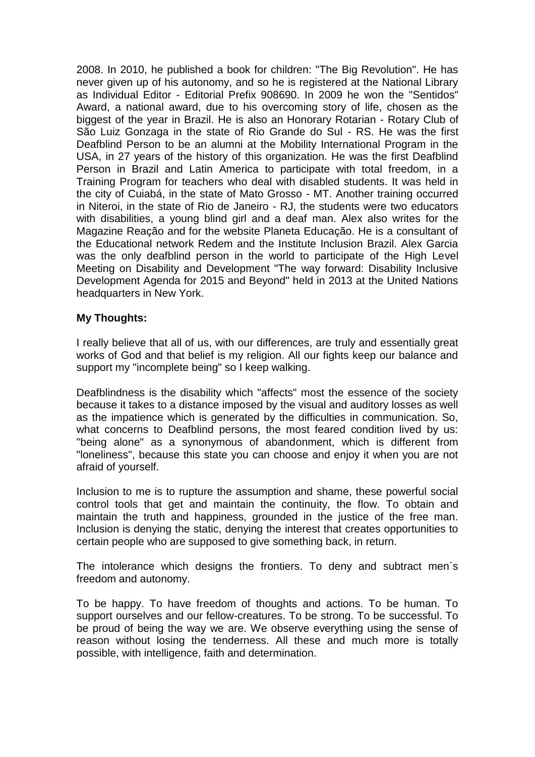2008. In 2010, he published a book for children: "The Big Revolution". He has never given up of his autonomy, and so he is registered at the National Library as Individual Editor - Editorial Prefix 908690. In 2009 he won the "Sentidos" Award, a national award, due to his overcoming story of life, chosen as the biggest of the year in Brazil. He is also an Honorary Rotarian - Rotary Club of São Luiz Gonzaga in the state of Rio Grande do Sul - RS. He was the first Deafblind Person to be an alumni at the Mobility International Program in the USA, in 27 years of the history of this organization. He was the first Deafblind Person in Brazil and Latin America to participate with total freedom, in a Training Program for teachers who deal with disabled students. It was held in the city of Cuiabá, in the state of Mato Grosso - MT. Another training occurred in Niteroi, in the state of Rio de Janeiro - RJ, the students were two educators with disabilities, a young blind girl and a deaf man. Alex also writes for the Magazine Reação and for the website Planeta Educação. He is a consultant of the Educational network Redem and the Institute Inclusion Brazil. Alex Garcia was the only deafblind person in the world to participate of the High Level Meeting on Disability and Development "The way forward: Disability Inclusive Development Agenda for 2015 and Beyond" held in 2013 at the United Nations headquarters in New York.

# **My Thoughts:**

I really believe that all of us, with our differences, are truly and essentially great works of God and that belief is my religion. All our fights keep our balance and support my "incomplete being" so I keep walking.

Deafblindness is the disability which "affects" most the essence of the society because it takes to a distance imposed by the visual and auditory losses as well as the impatience which is generated by the difficulties in communication. So, what concerns to Deafblind persons, the most feared condition lived by us: "being alone" as a synonymous of abandonment, which is different from "loneliness", because this state you can choose and enjoy it when you are not afraid of yourself.

Inclusion to me is to rupture the assumption and shame, these powerful social control tools that get and maintain the continuity, the flow. To obtain and maintain the truth and happiness, grounded in the justice of the free man. Inclusion is denying the static, denying the interest that creates opportunities to certain people who are supposed to give something back, in return.

The intolerance which designs the frontiers. To deny and subtract men´s freedom and autonomy.

To be happy. To have freedom of thoughts and actions. To be human. To support ourselves and our fellow-creatures. To be strong. To be successful. To be proud of being the way we are. We observe everything using the sense of reason without losing the tenderness. All these and much more is totally possible, with intelligence, faith and determination.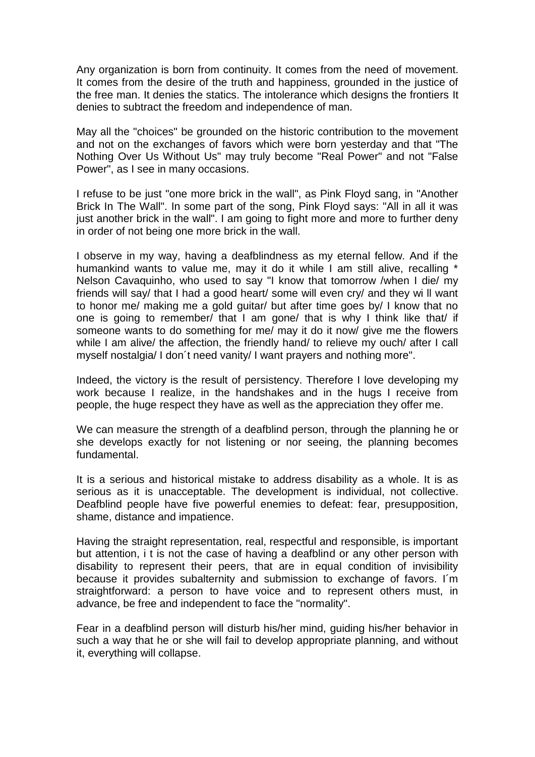Any organization is born from continuity. It comes from the need of movement. It comes from the desire of the truth and happiness, grounded in the justice of the free man. It denies the statics. The intolerance which designs the frontiers It denies to subtract the freedom and independence of man.

May all the "choices" be grounded on the historic contribution to the movement and not on the exchanges of favors which were born yesterday and that "The Nothing Over Us Without Us" may truly become "Real Power" and not "False Power", as I see in many occasions.

I refuse to be just "one more brick in the wall", as Pink Floyd sang, in "Another Brick In The Wall". In some part of the song, Pink Floyd says: "All in all it was just another brick in the wall". I am going to fight more and more to further deny in order of not being one more brick in the wall.

I observe in my way, having a deafblindness as my eternal fellow. And if the humankind wants to value me, may it do it while I am still alive, recalling Nelson Cavaquinho, who used to say "I know that tomorrow /when I die/ my friends will say/ that I had a good heart/ some will even cry/ and they wi ll want to honor me/ making me a gold guitar/ but after time goes by/ I know that no one is going to remember/ that I am gone/ that is why I think like that/ if someone wants to do something for me/ may it do it now/ give me the flowers while I am alive/ the affection, the friendly hand/ to relieve my ouch/ after I call myself nostalgia/ I don´t need vanity/ I want prayers and nothing more".

Indeed, the victory is the result of persistency. Therefore I love developing my work because I realize, in the handshakes and in the hugs I receive from people, the huge respect they have as well as the appreciation they offer me.

We can measure the strength of a deafblind person, through the planning he or she develops exactly for not listening or nor seeing, the planning becomes fundamental.

It is a serious and historical mistake to address disability as a whole. It is as serious as it is unacceptable. The development is individual, not collective. Deafblind people have five powerful enemies to defeat: fear, presupposition, shame, distance and impatience.

Having the straight representation, real, respectful and responsible, is important but attention, i t is not the case of having a deafblind or any other person with disability to represent their peers, that are in equal condition of invisibility because it provides subalternity and submission to exchange of favors. I´m straightforward: a person to have voice and to represent others must, in advance, be free and independent to face the "normality".

Fear in a deafblind person will disturb his/her mind, guiding his/her behavior in such a way that he or she will fail to develop appropriate planning, and without it, everything will collapse.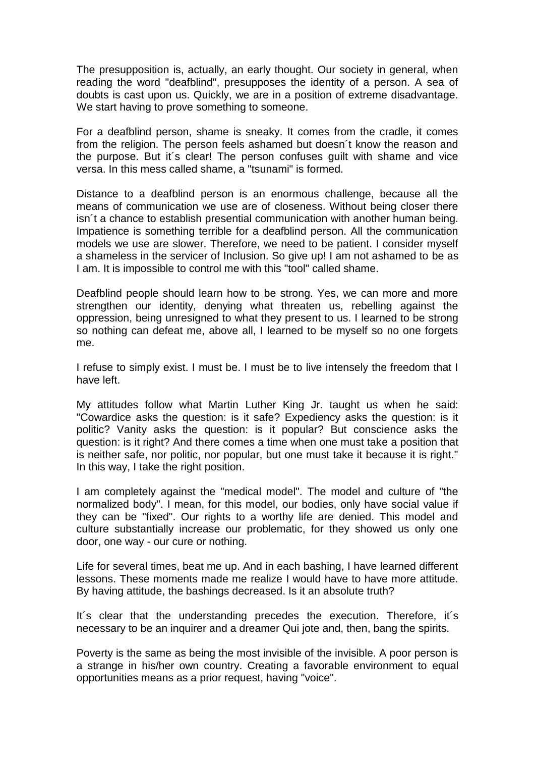The presupposition is, actually, an early thought. Our society in general, when reading the word "deafblind", presupposes the identity of a person. A sea of doubts is cast upon us. Quickly, we are in a position of extreme disadvantage. We start having to prove something to someone.

For a deafblind person, shame is sneaky. It comes from the cradle, it comes from the religion. The person feels ashamed but doesn´t know the reason and the purpose. But it´s clear! The person confuses guilt with shame and vice versa. In this mess called shame, a "tsunami" is formed.

Distance to a deafblind person is an enormous challenge, because all the means of communication we use are of closeness. Without being closer there isn´t a chance to establish presential communication with another human being. Impatience is something terrible for a deafblind person. All the communication models we use are slower. Therefore, we need to be patient. I consider myself a shameless in the servicer of Inclusion. So give up! I am not ashamed to be as I am. It is impossible to control me with this "tool" called shame.

Deafblind people should learn how to be strong. Yes, we can more and more strengthen our identity, denying what threaten us, rebelling against the oppression, being unresigned to what they present to us. I learned to be strong so nothing can defeat me, above all, I learned to be myself so no one forgets me.

I refuse to simply exist. I must be. I must be to live intensely the freedom that I have left.

My attitudes follow what Martin Luther King Jr. taught us when he said: "Cowardice asks the question: is it safe? Expediency asks the question: is it politic? Vanity asks the question: is it popular? But conscience asks the question: is it right? And there comes a time when one must take a position that is neither safe, nor politic, nor popular, but one must take it because it is right." In this way, I take the right position.

I am completely against the "medical model". The model and culture of "the normalized body". I mean, for this model, our bodies, only have social value if they can be "fixed". Our rights to a worthy life are denied. This model and culture substantially increase our problematic, for they showed us only one door, one way - our cure or nothing.

Life for several times, beat me up. And in each bashing, I have learned different lessons. These moments made me realize I would have to have more attitude. By having attitude, the bashings decreased. Is it an absolute truth?

It´s clear that the understanding precedes the execution. Therefore, it´s necessary to be an inquirer and a dreamer Qui jote and, then, bang the spirits.

Poverty is the same as being the most invisible of the invisible. A poor person is a strange in his/her own country. Creating a favorable environment to equal opportunities means as a prior request, having "voice".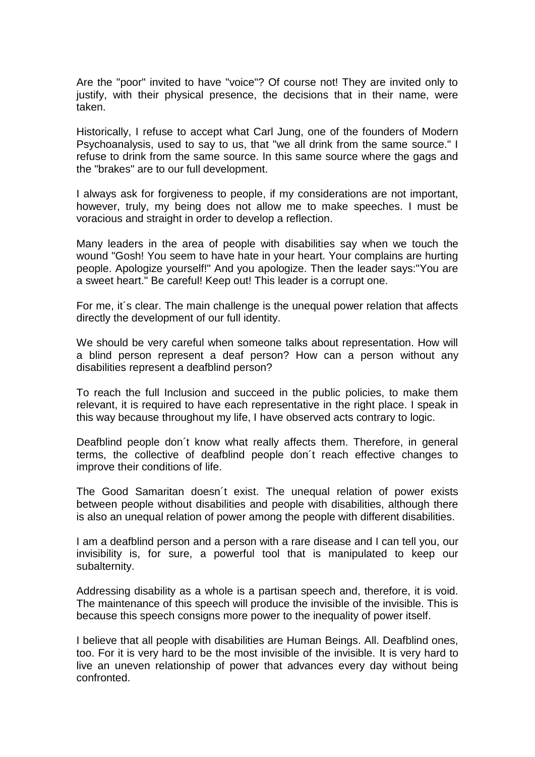Are the "poor" invited to have "voice"? Of course not! They are invited only to justify, with their physical presence, the decisions that in their name, were taken.

Historically, I refuse to accept what Carl Jung, one of the founders of Modern Psychoanalysis, used to say to us, that "we all drink from the same source." I refuse to drink from the same source. In this same source where the gags and the "brakes" are to our full development.

I always ask for forgiveness to people, if my considerations are not important, however, truly, my being does not allow me to make speeches. I must be voracious and straight in order to develop a reflection.

Many leaders in the area of people with disabilities say when we touch the wound "Gosh! You seem to have hate in your heart. Your complains are hurting people. Apologize yourself!" And you apologize. Then the leader says:"You are a sweet heart." Be careful! Keep out! This leader is a corrupt one.

For me, it´s clear. The main challenge is the unequal power relation that affects directly the development of our full identity.

We should be very careful when someone talks about representation. How will a blind person represent a deaf person? How can a person without any disabilities represent a deafblind person?

To reach the full Inclusion and succeed in the public policies, to make them relevant, it is required to have each representative in the right place. I speak in this way because throughout my life, I have observed acts contrary to logic.

Deafblind people don´t know what really affects them. Therefore, in general terms, the collective of deafblind people don´t reach effective changes to improve their conditions of life.

The Good Samaritan doesn´t exist. The unequal relation of power exists between people without disabilities and people with disabilities, although there is also an unequal relation of power among the people with different disabilities.

I am a deafblind person and a person with a rare disease and I can tell you, our invisibility is, for sure, a powerful tool that is manipulated to keep our subalternity.

Addressing disability as a whole is a partisan speech and, therefore, it is void. The maintenance of this speech will produce the invisible of the invisible. This is because this speech consigns more power to the inequality of power itself.

I believe that all people with disabilities are Human Beings. All. Deafblind ones, too. For it is very hard to be the most invisible of the invisible. It is very hard to live an uneven relationship of power that advances every day without being confronted.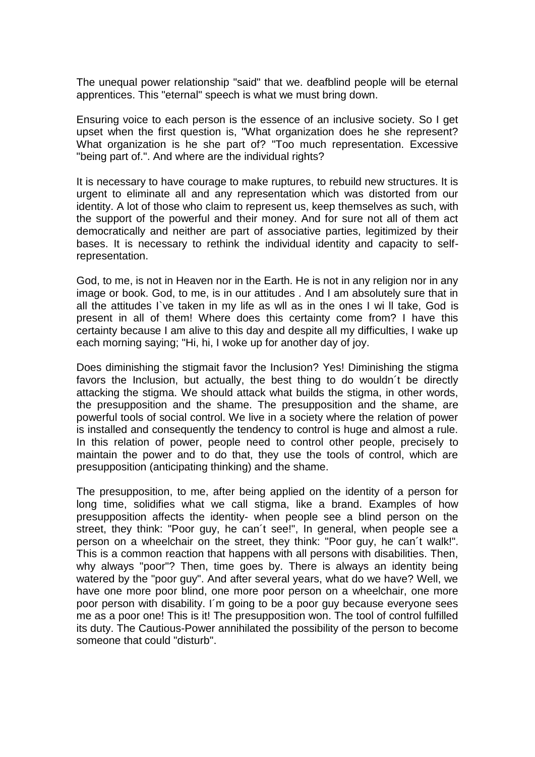The unequal power relationship "said" that we. deafblind people will be eternal apprentices. This "eternal" speech is what we must bring down.

Ensuring voice to each person is the essence of an inclusive society. So I get upset when the first question is, "What organization does he she represent? What organization is he she part of? "Too much representation. Excessive "being part of.". And where are the individual rights?

It is necessary to have courage to make ruptures, to rebuild new structures. It is urgent to eliminate all and any representation which was distorted from our identity. A lot of those who claim to represent us, keep themselves as such, with the support of the powerful and their money. And for sure not all of them act democratically and neither are part of associative parties, legitimized by their bases. It is necessary to rethink the individual identity and capacity to selfrepresentation.

God, to me, is not in Heaven nor in the Earth. He is not in any religion nor in any image or book. God, to me, is in our attitudes . And I am absolutely sure that in all the attitudes I`ve taken in my life as wll as in the ones I wi ll take, God is present in all of them! Where does this certainty come from? I have this certainty because I am alive to this day and despite all my difficulties, I wake up each morning saying; "Hi, hi, I woke up for another day of joy.

Does diminishing the stigmait favor the Inclusion? Yes! Diminishing the stigma favors the Inclusion, but actually, the best thing to do wouldn´t be directly attacking the stigma. We should attack what builds the stigma, in other words, the presupposition and the shame. The presupposition and the shame, are powerful tools of social control. We live in a society where the relation of power is installed and consequently the tendency to control is huge and almost a rule. In this relation of power, people need to control other people, precisely to maintain the power and to do that, they use the tools of control, which are presupposition (anticipating thinking) and the shame.

The presupposition, to me, after being applied on the identity of a person for long time, solidifies what we call stigma, like a brand. Examples of how presupposition affects the identity- when people see a blind person on the street, they think: "Poor guy, he can´t see!", In general, when people see a person on a wheelchair on the street, they think: "Poor guy, he can´t walk!". This is a common reaction that happens with all persons with disabilities. Then, why always "poor"? Then, time goes by. There is always an identity being watered by the "poor guy". And after several years, what do we have? Well, we have one more poor blind, one more poor person on a wheelchair, one more poor person with disability. I´m going to be a poor guy because everyone sees me as a poor one! This is it! The presupposition won. The tool of control fulfilled its duty. The Cautious-Power annihilated the possibility of the person to become someone that could "disturb".